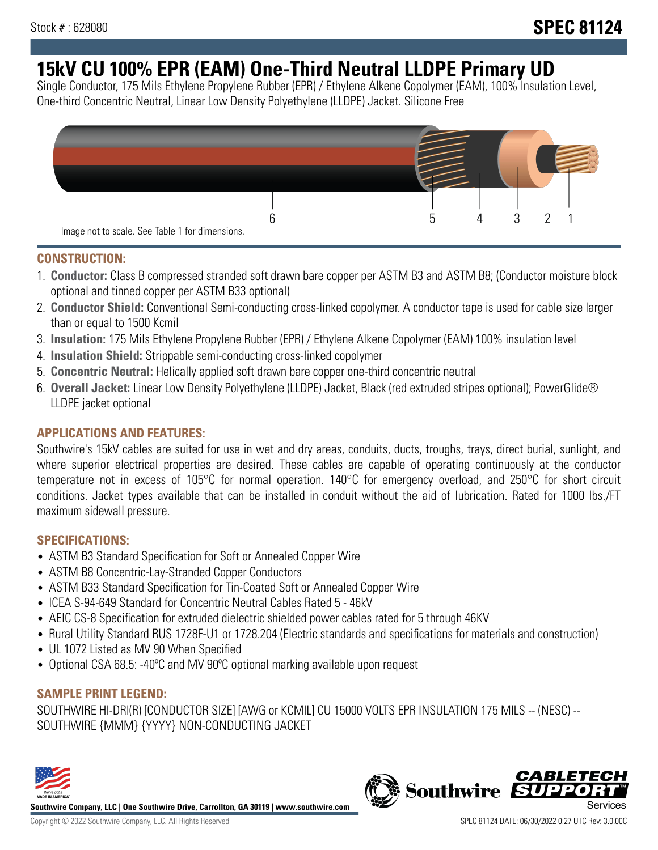# **15kV CU 100% EPR (EAM) One-Third Neutral LLDPE Primary UD**

Single Conductor, 175 Mils Ethylene Propylene Rubber (EPR) / Ethylene Alkene Copolymer (EAM), 100% Insulation Level, One-third Concentric Neutral, Linear Low Density Polyethylene (LLDPE) Jacket. Silicone Free



### **CONSTRUCTION:**

- 1. **Conductor:** Class B compressed stranded soft drawn bare copper per ASTM B3 and ASTM B8; (Conductor moisture block optional and tinned copper per ASTM B33 optional)
- 2. **Conductor Shield:** Conventional Semi-conducting cross-linked copolymer. A conductor tape is used for cable size larger than or equal to 1500 Kcmil
- 3. **Insulation:** 175 Mils Ethylene Propylene Rubber (EPR) / Ethylene Alkene Copolymer (EAM) 100% insulation level
- 4. **Insulation Shield:** Strippable semi-conducting cross-linked copolymer
- 5. **Concentric Neutral:** Helically applied soft drawn bare copper one-third concentric neutral
- 6. **Overall Jacket:** Linear Low Density Polyethylene (LLDPE) Jacket, Black (red extruded stripes optional); PowerGlide® LLDPE jacket optional

### **APPLICATIONS AND FEATURES:**

Southwire's 15kV cables are suited for use in wet and dry areas, conduits, ducts, troughs, trays, direct burial, sunlight, and where superior electrical properties are desired. These cables are capable of operating continuously at the conductor temperature not in excess of 105°C for normal operation. 140°C for emergency overload, and 250°C for short circuit conditions. Jacket types available that can be installed in conduit without the aid of lubrication. Rated for 1000 lbs./FT maximum sidewall pressure.

### **SPECIFICATIONS:**

- ASTM B3 Standard Specification for Soft or Annealed Copper Wire
- ASTM B8 Concentric-Lay-Stranded Copper Conductors
- ASTM B33 Standard Specification for Tin-Coated Soft or Annealed Copper Wire
- ICEA S-94-649 Standard for Concentric Neutral Cables Rated 5 46kV
- AEIC CS-8 Specification for extruded dielectric shielded power cables rated for 5 through 46KV
- Rural Utility Standard RUS 1728F-U1 or 1728.204 (Electric standards and specifications for materials and construction)
- UL 1072 Listed as MV 90 When Specified
- Optional CSA 68.5: -40°C and MV 90°C optional marking available upon request

## **SAMPLE PRINT LEGEND:**

SOUTHWIRE HI-DRI(R) [CONDUCTOR SIZE] [AWG or KCMIL] CU 15000 VOLTS EPR INSULATION 175 MILS -- (NESC) -- SOUTHWIRE {MMM} {YYYY} NON-CONDUCTING JACKET



**Southwire Company, LLC | One Southwire Drive, Carrollton, GA 30119 | www.southwire.com**